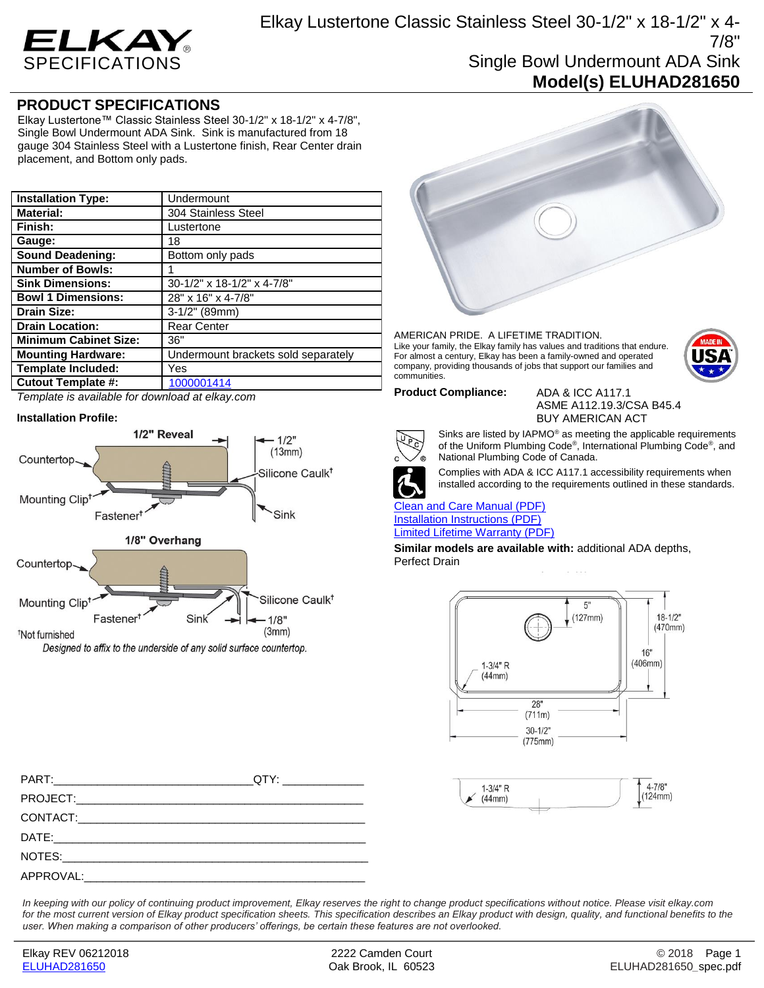

## **PRODUCT SPECIFICATIONS**

Elkay Lustertone™ Classic Stainless Steel 30-1/2" x 18-1/2" x 4-7/8", Single Bowl Undermount ADA Sink. Sink is manufactured from 18 gauge 304 Stainless Steel with a Lustertone finish, Rear Center drain placement, and Bottom only pads.

| <b>Installation Type:</b>    | Undermount                          |
|------------------------------|-------------------------------------|
| <b>Material:</b>             | 304 Stainless Steel                 |
| Finish:                      | Lustertone                          |
| Gauge:                       | 18                                  |
| <b>Sound Deadening:</b>      | Bottom only pads                    |
| <b>Number of Bowls:</b>      |                                     |
| <b>Sink Dimensions:</b>      | 30-1/2" x 18-1/2" x 4-7/8"          |
| <b>Bowl 1 Dimensions:</b>    | 28" x 16" x 4-7/8"                  |
| <b>Drain Size:</b>           | $3-1/2$ " (89mm)                    |
| <b>Drain Location:</b>       | <b>Rear Center</b>                  |
| <b>Minimum Cabinet Size:</b> | 36"                                 |
| <b>Mounting Hardware:</b>    | Undermount brackets sold separately |
| <b>Template Included:</b>    | Yes                                 |
| <b>Cutout Template #:</b>    | 1000001414                          |

*Template is available for download at elkay.com*

## **Installation Profile:**



Designed to affix to the underside of any solid surface countertop.



AMERICAN PRIDE. A LIFETIME TRADITION. Like your family, the Elkay family has values and traditions that endure. For almost a century, Elkay has been a family-owned and operated company, providing thousands of jobs that support our families and communities.



**Product Compliance:** ADA & ICC A117.1 ASME A112.19.3/CSA B45.4 BUY AMERICAN ACT



Sinks are listed by IAPMO® as meeting the applicable requirements of the Uniform Plumbing Code® , International Plumbing Code® , and National Plumbing Code of Canada.



Complies with ADA & ICC A117.1 accessibility requirements when installed according to the requirements outlined in these standards.

[Clean and Care Manual \(PDF\)](http://www.elkay.com/wcsstore/lkdocs/care-cleaning-install-warranty-sheets/residential%20and%20commercial%20care%20%20cleaning.pdf) [Installation Instructions \(PDF\)](http://www.elkay.com/wcsstore/lkdocs/care-cleaning-install-warranty-sheets/1000002045.pdf) [Limited Lifetime Warranty](http://www.elkay.com/wcsstore/lkdocs/care-cleaning-install-warranty-sheets/residential%20sinks%20warranty.pdf) (PDF)

**Similar models are available with:** additional ADA depths, Perfect Drain





PART:\_\_\_\_\_\_\_\_\_\_\_\_\_\_\_\_\_\_\_\_\_\_\_\_\_\_\_\_\_\_\_\_QTY: \_\_\_\_\_\_\_\_\_\_\_\_\_ PROJECT: CONTACT:\_\_\_\_\_\_\_\_\_\_\_\_\_\_\_\_\_\_\_\_\_\_\_\_\_\_\_\_\_\_\_\_\_\_\_\_\_\_\_\_\_\_\_\_\_\_ DATE:\_\_\_\_\_\_\_\_\_\_\_\_\_\_\_\_\_\_\_\_\_\_\_\_\_\_\_\_\_\_\_\_\_\_\_\_\_\_\_\_\_\_\_\_\_\_\_\_\_\_ NOTES: APPROVAL:

*In keeping with our policy of continuing product improvement, Elkay reserves the right to change product specifications without notice. Please visit elkay.com for the most current version of Elkay product specification sheets. This specification describes an Elkay product with design, quality, and functional benefits to the user. When making a comparison of other producers' offerings, be certain these features are not overlooked.*